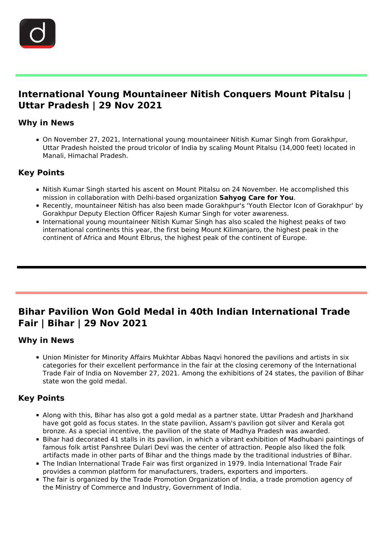

i<br>I

## **International Young Mountaineer Nitish Conquers Mount Pitalsu | Uttar Pradesh | 29 Nov 2021**

### **Why in News**

On November 27, 2021, International young mountaineer Nitish Kumar Singh from Gorakhpur, Uttar Pradesh hoisted the proud tricolor of India by scaling Mount Pitalsu (14,000 feet) located in Manali, Himachal Pradesh.

### **Key Points**

- Nitish Kumar Singh started his ascent on Mount Pitalsu on 24 November. He accomplished this mission in collaboration with Delhi-based organization **Sahyog Care for You**.
- Recently, mountaineer Nitish has also been made Gorakhpur's 'Youth Elector Icon of Gorakhpur' by Gorakhpur Deputy Election Officer Rajesh Kumar Singh for voter awareness.
- **International young mountaineer Nitish Kumar Singh has also scaled the highest peaks of two** international continents this year, the first being Mount Kilimanjaro, the highest peak in the continent of Africa and Mount Elbrus, the highest peak of the continent of Europe.

## **Bihar Pavilion Won Gold Medal in 40th Indian International Trade Fair | Bihar | 29 Nov 2021**

### **Why in News**

Ĩ

Union Minister for Minority Affairs Mukhtar Abbas Naqvi honored the pavilions and artists in six categories for their excellent performance in the fair at the closing ceremony of the International Trade Fair of India on November 27, 2021. Among the exhibitions of 24 states, the pavilion of Bihar state won the gold medal.

### **Key Points**

- Along with this, Bihar has also got a gold medal as a partner state. Uttar Pradesh and Jharkhand have got gold as focus states. In the state pavilion, Assam's pavilion got silver and Kerala got bronze. As a special incentive, the pavilion of the state of Madhya Pradesh was awarded.
- Bihar had decorated 41 stalls in its pavilion, in which a vibrant exhibition of Madhubani paintings of famous folk artist Panshree Dulari Devi was the center of attraction. People also liked the folk artifacts made in other parts of Bihar and the things made by the traditional industries of Bihar.
- The Indian International Trade Fair was first organized in 1979. India International Trade Fair provides a common platform for manufacturers, traders, exporters and importers.
- The fair is organized by the Trade Promotion Organization of India, a trade promotion agency of the Ministry of Commerce and Industry, Government of India.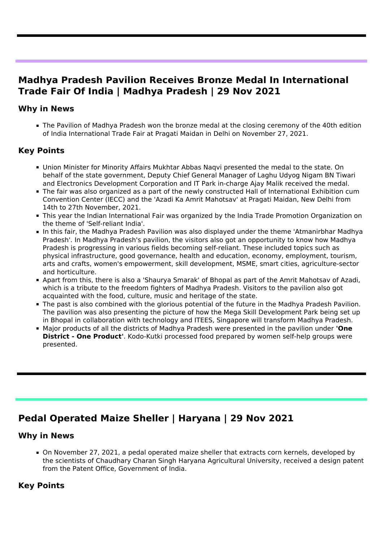## **Madhya Pradesh Pavilion Receives Bronze Medal In International Trade Fair Of India | Madhya Pradesh | 29 Nov 2021**

### **Why in News**

I

The Pavilion of Madhya Pradesh won the bronze medal at the closing ceremony of the 40th edition of India International Trade Fair at Pragati Maidan in Delhi on November 27, 2021.

### **Key Points**

- Union Minister for Minority Affairs Mukhtar Abbas Naqvi presented the medal to the state. On behalf of the state government, Deputy Chief General Manager of Laghu Udyog Nigam BN Tiwari and Electronics Development Corporation and IT Park in-charge Ajay Malik received the medal.
- The fair was also organized as a part of the newly constructed Hall of International Exhibition cum Convention Center (IECC) and the 'Azadi Ka Amrit Mahotsav' at Pragati Maidan, New Delhi from 14th to 27th November, 2021.
- This year the Indian International Fair was organized by the India Trade Promotion Organization on the theme of 'Self-reliant India'.
- In this fair, the Madhya Pradesh Pavilion was also displayed under the theme 'Atmanirbhar Madhya Pradesh'. In Madhya Pradesh's pavilion, the visitors also got an opportunity to know how Madhya Pradesh is progressing in various fields becoming self-reliant. These included topics such as physical infrastructure, good governance, health and education, economy, employment, tourism, arts and crafts, women's empowerment, skill development, MSME, smart cities, agriculture-sector and horticulture.
- Apart from this, there is also a 'Shaurya Smarak' of Bhopal as part of the Amrit Mahotsav of Azadi, which is a tribute to the freedom fighters of Madhya Pradesh. Visitors to the pavilion also got acquainted with the food, culture, music and heritage of the state.
- The past is also combined with the glorious potential of the future in the Madhya Pradesh Pavilion. The pavilion was also presenting the picture of how the Mega Skill Development Park being set up in Bhopal in collaboration with technology and ITEES, Singapore will transform Madhya Pradesh.
- Major products of all the districts of Madhya Pradesh were presented in the pavilion under **'One District - One Product'**. Kodo-Kutki processed food prepared by women self-help groups were presented.

# **Pedal Operated Maize Sheller | Haryana | 29 Nov 2021**

### **Why in News**

Ĩ

On November 27, 2021, a pedal operated maize sheller that extracts corn kernels, developed by the scientists of Chaudhary Charan Singh Haryana Agricultural University, received a design patent from the Patent Office, Government of India.

### **Key Points**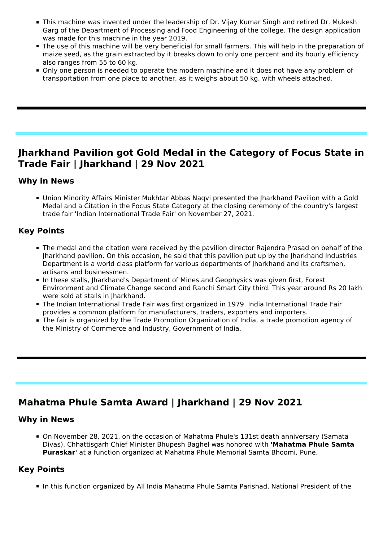- This machine was invented under the leadership of Dr. Vijay Kumar Singh and retired Dr. Mukesh Garg of the Department of Processing and Food Engineering of the college. The design application was made for this machine in the year 2019.
- The use of this machine will be very beneficial for small farmers. This will help in the preparation of maize seed, as the grain extracted by it breaks down to only one percent and its hourly efficiency also ranges from 55 to 60 kg.
- Only one person is needed to operate the modern machine and it does not have any problem of transportation from one place to another, as it weighs about 50 kg, with wheels attached.

### **Jharkhand Pavilion got Gold Medal in the Category of Focus State in Trade Fair | Jharkhand | 29 Nov 2021**

#### **Why in News**

Ĩ

Union Minority Affairs Minister Mukhtar Abbas Naqvi presented the Jharkhand Pavilion with a Gold Medal and a Citation in the Focus State Category at the closing ceremony of the country's largest trade fair 'Indian International Trade Fair' on November 27, 2021.

### **Key Points**

- The medal and the citation were received by the pavilion director Rajendra Prasad on behalf of the Jharkhand pavilion. On this occasion, he said that this pavilion put up by the Jharkhand Industries Department is a world class platform for various departments of Jharkhand and its craftsmen, artisans and businessmen.
- In these stalls, Jharkhand's Department of Mines and Geophysics was given first, Forest Environment and Climate Change second and Ranchi Smart City third. This year around Rs 20 lakh were sold at stalls in Jharkhand.
- The Indian International Trade Fair was first organized in 1979. India International Trade Fair provides a common platform for manufacturers, traders, exporters and importers.
- The fair is organized by the Trade Promotion Organization of India, a trade promotion agency of the Ministry of Commerce and Industry, Government of India.

# **Mahatma Phule Samta Award | Jharkhand | 29 Nov 2021**

#### **Why in News**

On November 28, 2021, on the occasion of Mahatma Phule's 131st death anniversary (Samata Divas), Chhattisgarh Chief Minister Bhupesh Baghel was honored with **'Mahatma Phule Samta Puraskar'** at a function organized at Mahatma Phule Memorial Samta Bhoomi, Pune.

### **Key Points**

In this function organized by All India Mahatma Phule Samta Parishad, National President of the